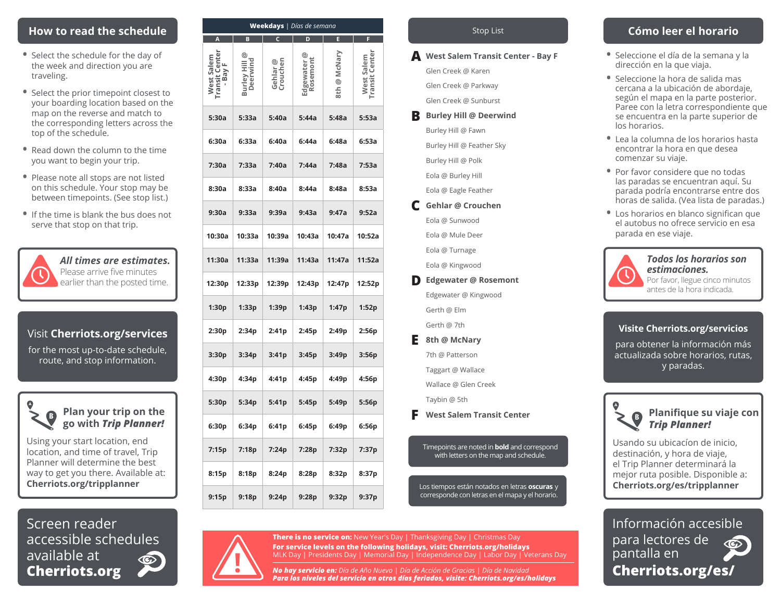# **How to read the schedule**

- Select the schedule for the day of the week and direction you are traveling.
- Select the prior timepoint closest to your boarding location based on the map on the reverse and match to the corresponding letters across the top of the schedule.
- Read down the column to the time you want to begin your trip.
- Please note all stops are not listed on this schedule. Your stop may be between timepoints. (See stop list.)
- If the time is blank the bus does not serve that stop on that trip.



*All times are estimates.* Please arrive five minutes earlier than the posted time.

## Visit **Cherriots.org/services**

for the most up-to-date schedule, route, and stop information.



# **Plan your trip on the go with** *Trip Planner!*

Using your start location, end location, and time of travel, Trip Planner will determine the best way to get you there. Available at: **Cherriots.org/tripplanner**

# Screen reader accessible schedules available at **Cherriots.org**



| Weekdays   Días de semana                          |                                     |                      |                            |              |                                     |
|----------------------------------------------------|-------------------------------------|----------------------|----------------------------|--------------|-------------------------------------|
|                                                    | B                                   | $\overline{c}$       | D                          | E            | F                                   |
| <b>Transit Center</b><br>West Salem<br>щ<br>$-BaV$ | ල<br>Deerwind<br><b>Burley Hill</b> | Gehlar @<br>Crouchen | ල<br>Rosemont<br>Edgewater | 8th @ McNary | <b>Transit Center</b><br>West Salem |
| 5:30a                                              | 5:33a                               | 5:40a                | 5:44a                      | 5:48a        | 5:53a                               |
| 6:30a                                              | 6:33a                               | 6:40a                | 6:44a                      | 6:48a        | 6:53a                               |
| 7:30a                                              | 7:33a                               | 7:40a                | 7:44a                      | 7:48a        | 7:53a                               |
| 8:30a                                              | 8:33a                               | 8:40a                | 8:44a                      | 8:48a        | 8:53a                               |
| 9:30a                                              | 9:33a                               | 9:39a                | 9:43a                      | 9:47a        | 9:52a                               |
| 10:30a                                             | 10:33a                              | 10:39a               | 10:43a                     | 10:47a       | 10:52a                              |
| 11:30a                                             | 11:33a                              | 11:39a               | 11:43a                     | 11:47a       | 11:52a                              |
| 12:30p                                             | 12:33p                              | 12:39p               | 12:43p                     | 12:47p       | 12:52p                              |
| 1:30p                                              | 1:33p                               | 1:39p                | 1:43p                      | 1:47p        | 1:52p                               |
| 2:30p                                              | 2:34p                               | 2:41p                | 2:45p                      | 2:49p        | 2:56p                               |
| 3:30p                                              | 3:34p                               | 3:41p                | 3:45p                      | 3:49p        | 3:56p                               |
| 4:30p                                              | 4:34p                               | 4:41p                | 4:45p                      | 4:49p        | 4:56p                               |
| 5:30p                                              | 5:34p                               | 5:41p                | 5:45p                      | 5:49p        | 5:56p                               |
| 6:30p                                              | 6:34p                               | 6:41p                | 6:45p                      | 6:49p        | 6:56p                               |
| 7:15p                                              | 7:18p                               | 7:24p                | 7:28p                      | 7:32p        | 7:37p                               |
| 8:15p                                              | 8:18p                               | 8:24p                | 8:28p                      | 8:32p        | 8:37p                               |
| 9:15p                                              | 9:18p                               | 9:24p                | 9:28p                      | 9:32p        | 9:37p                               |

Stop List

#### **A West Salem Transit Center - Bay F**

Glen Creek @ Karen

Glen Creek @ Parkway

Glen Creek @ Sunburst

#### **B Burley Hill @ Deerwind**

Burley Hill @ Fawn Burley Hill @ Feather Sky

Burley Hill @ Polk

Eola @ Burley Hill

Eola @ Eagle Feather

**C Gehlar @ Crouchen**

Eola @ Sunwood Eola @ Mule Deer

Eola @ Turnage

Eola @ Kingwood

**D Edgewater @ Rosemont** Edgewater @ Kingwood

Gerth @ Elm

Gerth @ 7th

**E 8th @ McNary**

7th @ Patterson

Taggart @ Wallace

Wallace @ Glen Creek

Taybin @ 5th

**F West Salem Transit Center**

Timepoints are noted in **bold** and correspond with letters on the map and schedule.

Los tiempos están notados en letras **oscuras** y corresponde con letras en el mapa y el horario.

# **Cómo leer el horario**

- Seleccione el día de la semana y la dirección en la que viaja.
- Seleccione la hora de salida mas cercana a la ubicación de abordaje, según el mapa en la parte posterior. Paree con la letra correspondiente que se encuentra en la parte superior de los horarios.
- Lea la columna de los horarios hasta encontrar la hora en que desea comenzar su viaje.
- Por favor considere que no todas las paradas se encuentran aquí. Su parada podría encontrarse entre dos horas de salida. (Vea lista de paradas.)
- Los horarios en blanco significan que el autobus no ofrece servicio en esa parada en ese viaje.



*Todos los horarios son estimaciones.* Por favor, llegue cinco minutos antes de la hora indicada.

#### **Visite Cherriots.org/servicios**

para obtener la información más actualizada sobre horarios, rutas, y paradas.



Usando su ubicacíon de inicio, destinación, y hora de viaje, el Trip Planner determinará la mejor ruta posible. Disponible a: **Cherriots.org/es/tripplanner**



**There is no service on:** New Year's Day | Thanksgiving Day | Christmas Day **For service levels on the following holidays, visit: Cherriots.org/holidays**  MLK Day | Presidents Day | Memorial Day | Independence Day | Labor Day | Veterans Day

*No hay servicio en: Día de Año Nuevo | Día de Acción de Gracias | Día de Navidad Para los niveles del servicio en otros días feriados, visite: Cherriots.org/es/holidays*